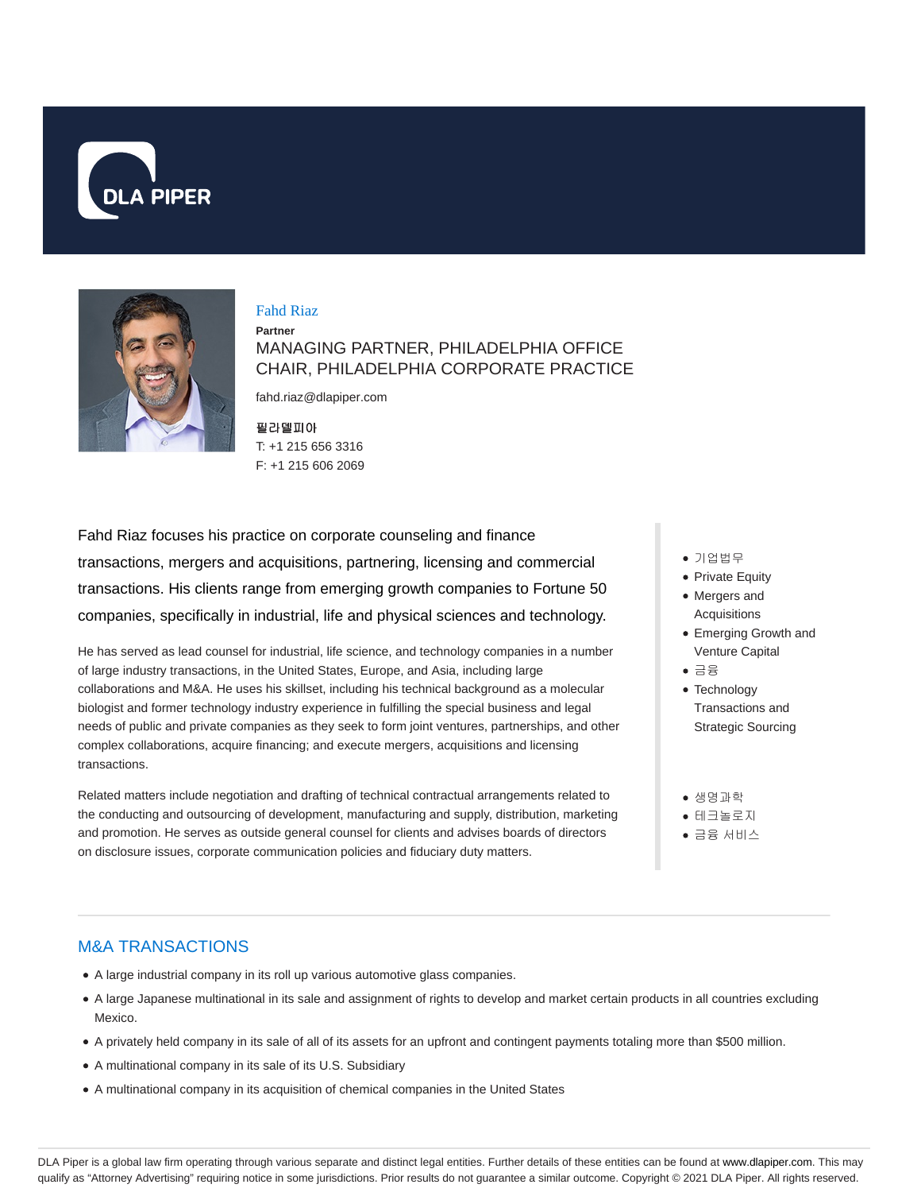



#### Fahd Riaz

**Partner** MANAGING PARTNER, PHILADELPHIA OFFICE CHAIR, PHILADELPHIA CORPORATE PRACTICE

fahd.riaz@dlapiper.com

필라델피아 T: +1 215 656 3316 F: +1 215 606 2069

Fahd Riaz focuses his practice on corporate counseling and finance transactions, mergers and acquisitions, partnering, licensing and commercial transactions. His clients range from emerging growth companies to Fortune 50 companies, specifically in industrial, life and physical sciences and technology.

He has served as lead counsel for industrial, life science, and technology companies in a number of large industry transactions, in the United States, Europe, and Asia, including large collaborations and M&A. He uses his skillset, including his technical background as a molecular biologist and former technology industry experience in fulfilling the special business and legal needs of public and private companies as they seek to form joint ventures, partnerships, and other complex collaborations, acquire financing; and execute mergers, acquisitions and licensing transactions.

Related matters include negotiation and drafting of technical contractual arrangements related to the conducting and outsourcing of development, manufacturing and supply, distribution, marketing and promotion. He serves as outside general counsel for clients and advises boards of directors on disclosure issues, corporate communication policies and fiduciary duty matters.

- 기업법무
- Private Equity
- Mergers and Acquisitions
- Emerging Growth and Venture Capital
- 금융
- Technology Transactions and Strategic Sourcing
- 생명과학
- 테크놀로지
- 금융 서비스

#### M&A TRANSACTIONS

- A large industrial company in its roll up various automotive glass companies.
- A large Japanese multinational in its sale and assignment of rights to develop and market certain products in all countries excluding Mexico.
- A privately held company in its sale of all of its assets for an upfront and contingent payments totaling more than \$500 million.
- A multinational company in its sale of its U.S. Subsidiary
- A multinational company in its acquisition of chemical companies in the United States

DLA Piper is a global law firm operating through various separate and distinct legal entities. Further details of these entities can be found at www.dlapiper.com. This may qualify as "Attorney Advertising" requiring notice in some jurisdictions. Prior results do not guarantee a similar outcome. Copyright @ 2021 DLA Piper. All rights reserved.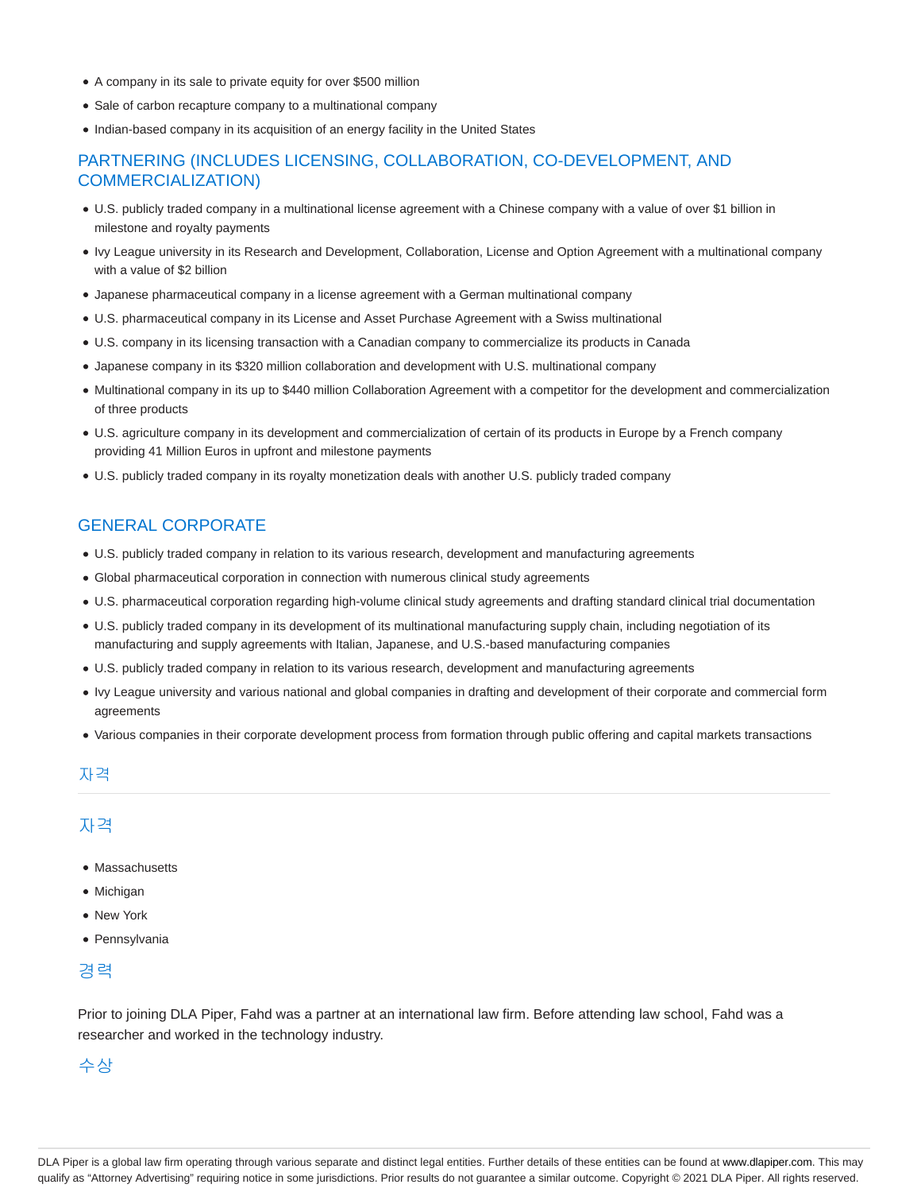- A company in its sale to private equity for over \$500 million
- Sale of carbon recapture company to a multinational company
- Indian-based company in its acquisition of an energy facility in the United States

### PARTNERING (INCLUDES LICENSING, COLLABORATION, CO-DEVELOPMENT, AND COMMERCIALIZATION)

- U.S. publicly traded company in a multinational license agreement with a Chinese company with a value of over \$1 billion in milestone and royalty payments
- Ivy League university in its Research and Development, Collaboration, License and Option Agreement with a multinational company with a value of \$2 billion
- Japanese pharmaceutical company in a license agreement with a German multinational company
- U.S. pharmaceutical company in its License and Asset Purchase Agreement with a Swiss multinational
- U.S. company in its licensing transaction with a Canadian company to commercialize its products in Canada
- Japanese company in its \$320 million collaboration and development with U.S. multinational company
- Multinational company in its up to \$440 million Collaboration Agreement with a competitor for the development and commercialization of three products
- U.S. agriculture company in its development and commercialization of certain of its products in Europe by a French company providing 41 Million Euros in upfront and milestone payments
- U.S. publicly traded company in its royalty monetization deals with another U.S. publicly traded company

### GENERAL CORPORATE

- U.S. publicly traded company in relation to its various research, development and manufacturing agreements
- Global pharmaceutical corporation in connection with numerous clinical study agreements
- U.S. pharmaceutical corporation regarding high-volume clinical study agreements and drafting standard clinical trial documentation
- U.S. publicly traded company in its development of its multinational manufacturing supply chain, including negotiation of its manufacturing and supply agreements with Italian, Japanese, and U.S.-based manufacturing companies
- U.S. publicly traded company in relation to its various research, development and manufacturing agreements
- Ivy League university and various national and global companies in drafting and development of their corporate and commercial form agreements
- Various companies in their corporate development process from formation through public offering and capital markets transactions

#### 자격

## 자격

- Massachusetts
- Michigan
- New York
- Pennsylvania

#### 경력

Prior to joining DLA Piper, Fahd was a partner at an international law firm. Before attending law school, Fahd was a researcher and worked in the technology industry.

## 수상

DLA Piper is a global law firm operating through various separate and distinct legal entities. Further details of these entities can be found at www.dlapiper.com. This may qualify as "Attorney Advertising" requiring notice in some jurisdictions. Prior results do not guarantee a similar outcome. Copyright © 2021 DLA Piper. All rights reserved.